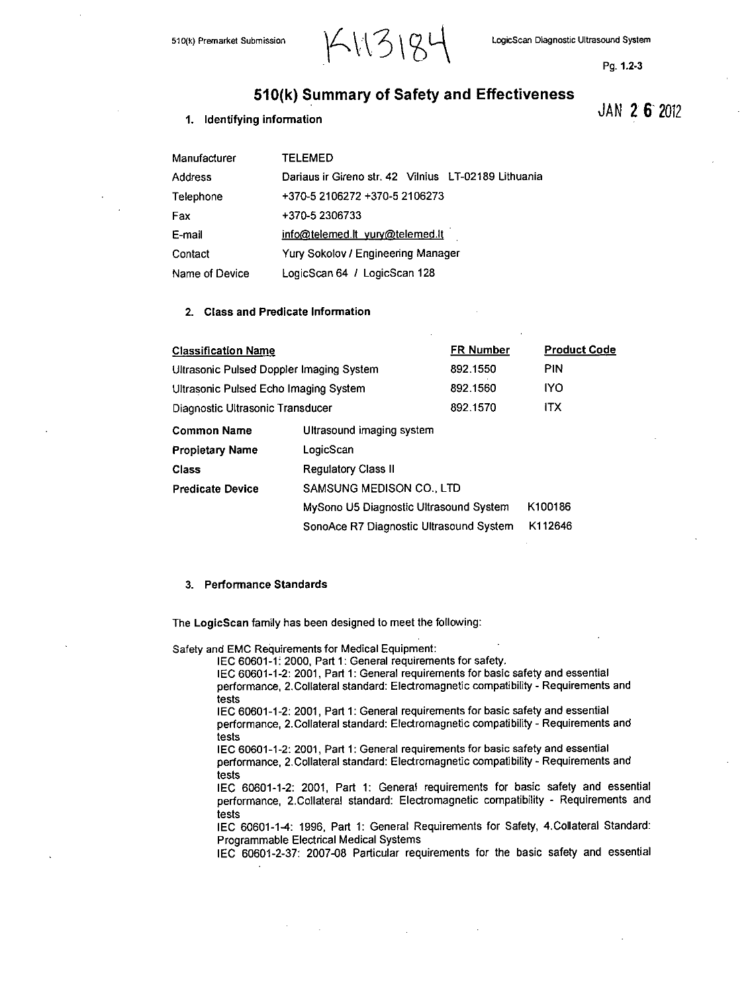

**Pg. 1.2-3**

# **510(k)** Summary of Safety and Effectiveness **JAN** 2 **6'** <sup>2012</sup>

# **1.** Identifying information

| Manufacturer   | TELEMED                                              |
|----------------|------------------------------------------------------|
| Address        | Dariaus ir Gireno str. 42 Vilnius LT-02189 Lithuania |
| Telephone      | +370-5 2106272 +370-5 2106273                        |
| Fax            | +370-5 2306733                                       |
| E-mail         | info@telemed.lt yury@telemed.lt                      |
| Contact        | Yury Sokolov / Engineering Manager                   |
| Name of Device | LogicScan 64 / LogicScan 128                         |

# 2. Class and Predicate Information

| <b>Classification Name</b>                      |                                         | <b>FR Number</b> | <b>Product Code</b> |  |  |  |
|-------------------------------------------------|-----------------------------------------|------------------|---------------------|--|--|--|
| <b>Ultrasonic Pulsed Doppler Imaging System</b> |                                         | 892.1550         | <b>PIN</b>          |  |  |  |
| Ultrasonic Pulsed Echo Imaging System           | 892.1560                                | <b>IYO</b>       |                     |  |  |  |
| Diagnostic Ultrasonic Transducer                |                                         | 892.1570         | <b>ITX</b>          |  |  |  |
| <b>Common Name</b>                              | Ultrasound imaging system               |                  |                     |  |  |  |
| <b>Propietary Name</b>                          | LogicScan                               |                  |                     |  |  |  |
| Class                                           | <b>Regulatory Class II</b>              |                  |                     |  |  |  |
| <b>Predicate Device</b>                         | SAMSUNG MEDISON CO., LTD                |                  |                     |  |  |  |
|                                                 | MySono U5 Diagnostic Ultrasound System  | K100186          |                     |  |  |  |
|                                                 | SonoAce R7 Diagnostic Ultrasound System | K112646          |                     |  |  |  |

# **3.** Performance Standards

The LogicScan family has been designed to meet the following:

Safety and **EMC** Requirements for Medical Equipment:

**IEC 60601-1;** 2000, Part **1:** General requirements for safety.

**IEC 60601-1-2:** 2001, Part **1:** General requirements for basic safety and essential performance, 2.Collateral standard: Electromagnetic compatibility **-** Requirements and tests

**IEC 60601-1-2:** 2001, Part **1:** General requirements for basic safety and essential performance, 2.Collateral standard: Electromagnetic compatibility **-** Requirements and tests

**IEC 60601-1-2:** 2001, Part **1:** General requirements for basic safety and essential performance, 2.Collateral standard: Electromagnetic compatibility **-** Requirements and tests

**lEO 60601-1-2:** 2001, Part **1:** General requirements for basic safety and essential performance, 2.Collateral standard: Electromagnetic compatibility **-** Requirements and tests

**IEC** 60601-1-4: **1996,** Part **1:** General Requirements for Safety, 4.Collateral Standard: Programmable Electrical Medical Systems

**lEO 60601-2-37: 2007-08** Particular requirements for the basic safety and essential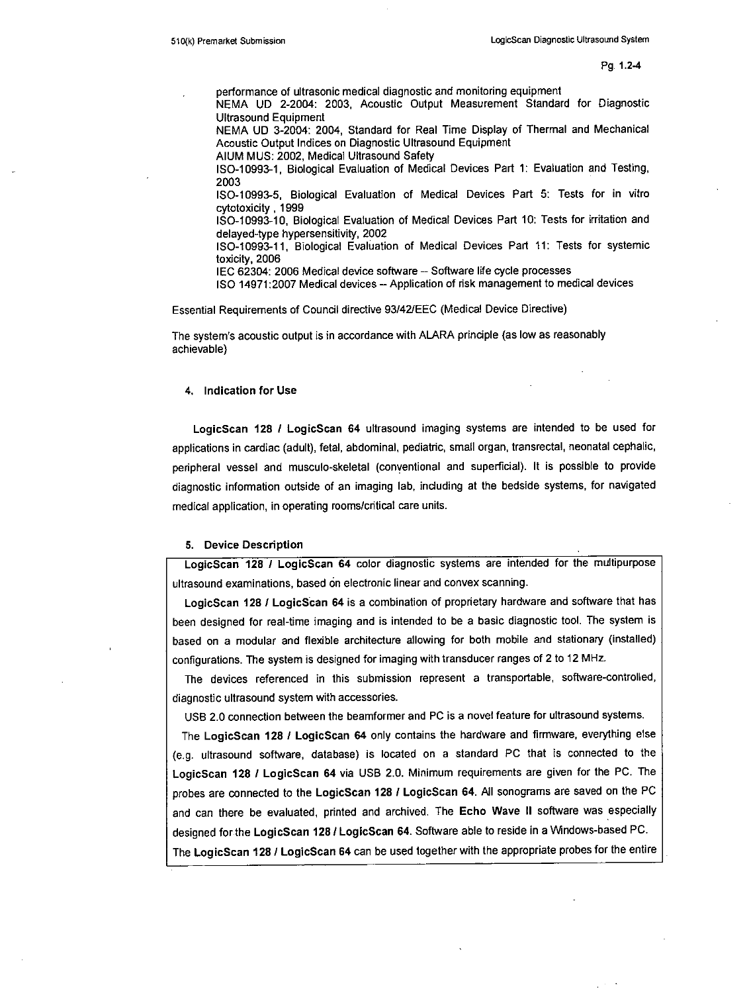performance of ultrasonic medical diagnostic and monitoring equipment

**NEMA UD** 2-2004: **2003,** Acoustic Output Measurement Standard for Diagnostic Ultrasound Equipment

**NEMA UD** 3-2004: 2004, Standard for Real Time Display of Thermal and Mechanical Acoustic Output Indices on Diagnostic Ultrasound Equipment

**AlUM MUS:** 2002, Medical Ultrasound Safety

**ISO-i 0993-1,** Biological Evaluation of Medical Devices Part **1:** Evaluation and Testing, **2003**

**ISO-10993-5,** Biological Evaluation of Medical Devices Part **5:** Tests for in vitro cytotoxicty **,1999**

**ISO-i0993-10,** Biological Evaluation of Medical Devices Part **10:** Tests for irritation and delayed-type hypersensitivity, 2902

**ISO-10993-11,** Biological Evaluation of Medical Devices Part **11:** Tests for systemic toxicity, **2006**

**IEC** 62304: **2006** Medical device software **-** Software life cycle processes

**ISO 14971:2007** Medical devices **-** Application of risk management to medical devices

Essential Requirements of Council directive **93/42/EEC** (Medical Device Directive)

The system's acoustic output is in accordance with ALARA principle (as low as reasonably achievable)

#### 4. Indication for Use

LogicScan **128 /** LogicScan 64 ultrasound imaging systems are intended to be used for applications in cardiac (adult), fetal, abdominal, pediatric, small organ, transrectal, neonatal cephalic, peripheral vessel and musculo-skeletal (conventional and superficial). It is possible to provide diagnostic information outside of an imaging lab, including at the bedside systems, for navigated medical application, in operating rooms/critical care units.

## **5.** Device Description

LogicScan **128 1** LogicScan 64 color diagnostic systems are intended for the multipurpose ultrasound examinations, based on electronic linear and convex scanning.

LogicScan 128 **1** LogicScan 64 is a combination of proprietary hardware and software that has been designed for real-time imaging and is intended to be a basic diagnostic tool. The system is based on a modular and flexible architecture allowing for both mobile and stationary (installed) configurations. The system is designed for imaging with transducer ranges of 2 to 12 MHz.

The devices referenced in this submission represent a transportable, software-controlled, diagnostic ultrasound system with accessories.

**USB** 2.0 connection between the beamformer and **PC** is a novel feature for ultrasound systems.

The LogicScan **128 1** LogicScan 64 only contains the hardware and firmware, everything else (e.g. ultrasound software, database) is located on a standard **PC** that is connected to the LogicScan **128 /** LogicScan 64 via **USB** 2.0. Minimum requirements are given for the **PC.** The probes are connected to the LogicScan **128 /** LogicScan 64. **AJI** sonograms are saved on the **PC** and can there be evaluated, printed and archived. The Echo Wave **11** software was especially designed for the LogicScan **128 /** LogicScan 64. Software able to reside in a Windows-based **PC.** The LogicScan **128 /** LogicScan 64 can be used together with the appropriate probes for the entire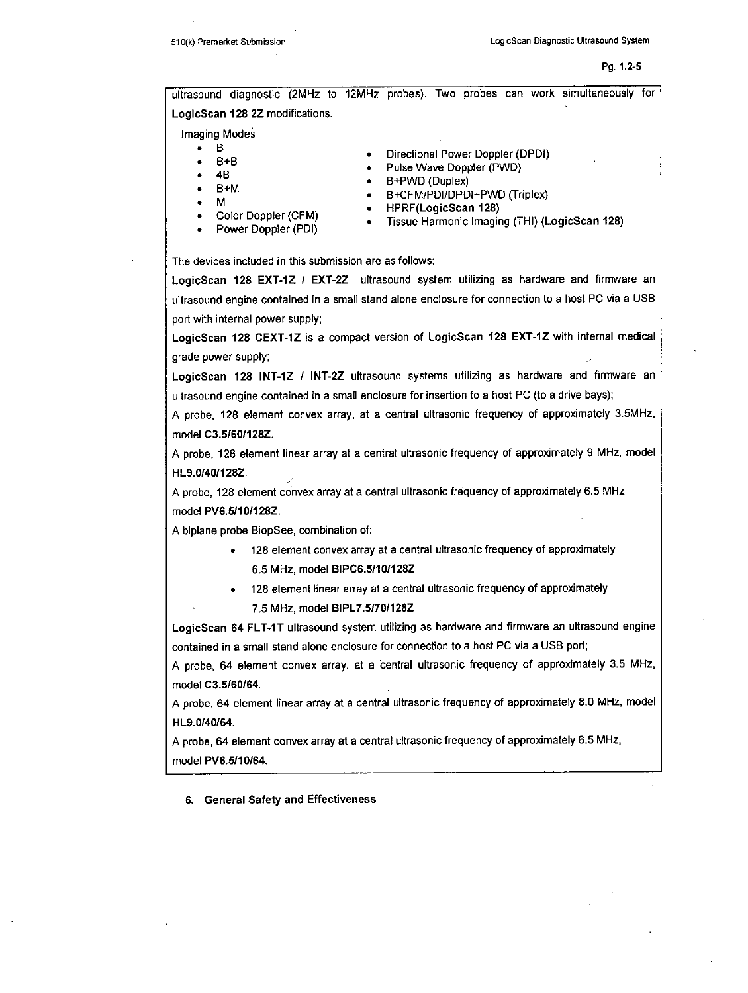ultrasound diagnostic (2MHz to 12MHz probes). Two probes can work simultaneously for LogicScan **128** 2Z modifications.

Imaging Modes

- 
- 
- 
- 
- M
- 
- B +B +B + Directional Power Doppler (DPDI + B +B + B + B + M + B + M + B + M + B + M + B + CFM/PDI/DPDI+PWD (Triplex)<br>● B +M + B + B + B + B + R + CFM/PDI/DPDI+PWD (Triplex)
- 
- Power Doppler (PDI)
- \*Color Doppler (CFM) **.** HPRF(LHaronic Iaig(HI **128)** Lgccan
	-

The devices included in this submission are as follows:

LogicScan **128** EXT-IZ **/** EXT-2Z ultrasound system utilizing as hardware and firmware an ultrasound engine contained in a small stand alone enclosure for connection to a host **PC** via a **USB** port with internal power supply;

LogicScan **128** CEXT-1Z is a compact version of LogicScan **128** EXT-1Z with intemnal medical grade power supply;

LogicScan **128** INT-IZ **/** INT-2Z ultrasound systems utilizing as hardware and firmware an ultrasound engine contained in a small enclosure for insertion to a host **PC** (to a drive bays);

**A** probe, **128** element convex array, at a central ultrasonic frequency of approximately 3.5MHz, model **C3.5160I128Z.**

**A** probe, 128 element linear array at a central ultrasonic frequency of approximately **9** MHz, model HL9.Ol40/128Z.

**A** probe, **128** element convex array at a central ultrasonic frequency of approximately **6.5** MHz, model PV6.5110128Z.

**A** biplane probe BiopSee, combination of:

- **\* 128** element convex array at a central ultrasonic frequency of appmoximately **6.5** MHz, model **BIPC6.51101128Z**
- **\* 128** element linear array at a central ultrasonic frequency of approximately \* **7.5** MHz, model **BIPL7.51701128Z**

LogicScan 64 FLT-1T ultrasound system utilizing as hardware and firmware an ultrasound engine contained in a small stand alone enclosure for connection to a host **PC** via a **USB** port;

**A** probe, 64 element convex array, at a central ultrasonic frequency of approximately **3.5** MHz, model **C3.5/60/64.**

**A** probe, 64 element linear array at a central ultrasonic frequency of approximately **8.0** MHz, model HL9.0/40/64.

**A** probe, 64 element convex array at a central ultrasonic frequency of approximately **6.5** MHz, model PV6.5/10/64.

#### **6.** General Safety and Effeciveness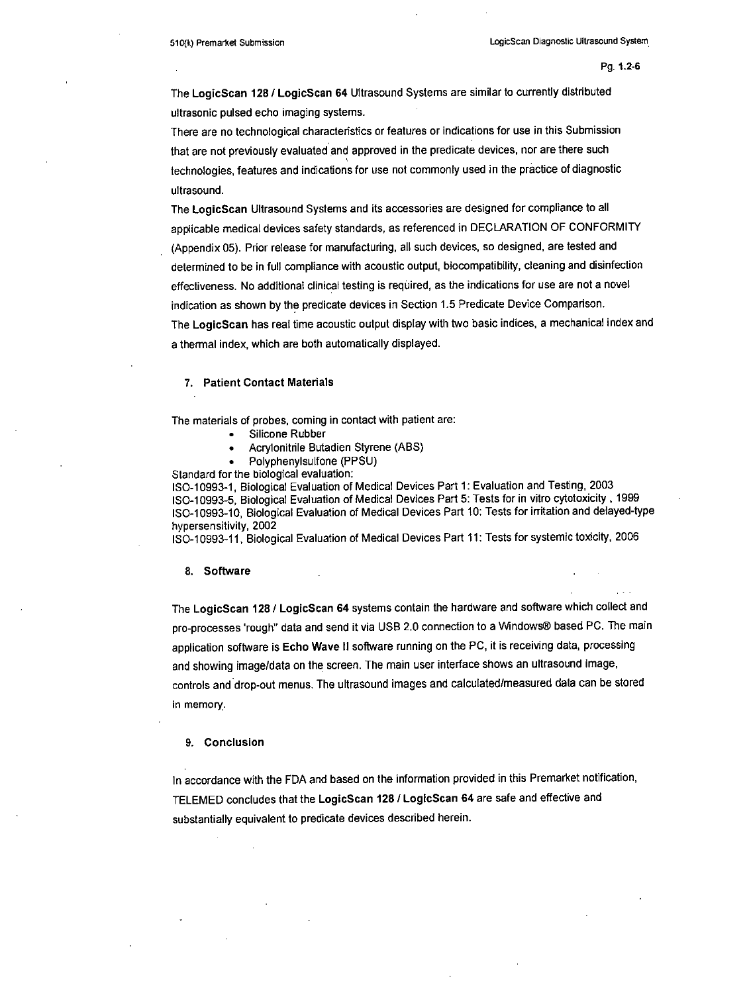The LogicScan 128 **/** LogicScan 64 Ultrasound Systems are similar to currently distributed ultrasonic pulsed echo imaging systems.

There are no technological characteristics or features or indications for use in this Submission that are not previously evaluated and approved in the predicate devices, nor are there such technologies, features and indicaions for use not commonly used in the practice of diagnostic ultrasound.

The LogicScan Ultrasound Systems and its accessories are designed for compliance to all applicable medical devices safety standards, as referenced in **DECLARATION** OF CONFORMITY (Appendix **05).** Prior release for manufacturing, all such devices, so designed, are tested and determined to be in full compliance with acoustic output, biocompatibility, cleaning and disinfecton effectiveness. No additional clinical testing is required, as the indications for use are not a novel indication as shown **by** the predicate devices in Section **1.5** Predicate Device Comparison. The LogicScan has real time acoustic output display with two basic indices, a mechanical index and a thermal index, which are both automatically displayed.

## **7.** Patient Contact Materials

The materials of probes, coming in contact with patient are:

- Silicone Rubber
- \* Acrylonitile Butadien Styrene **(ABS)**
- \* Polyphenylsulfone **(PPSIJ)**

Standard for the biological evaluation:

**IS0-10993-1,** Biological Evaluation of Medical Devices Part **1:** Evaluation and Testing, **2003 ISO-i 0993-5,** Biological Evaluation of Medical Devices Part **5:** Tests for in vitro cytotoxicity **, 1999 ISO-10993-I0,** Biological Evaluation of Medical Devices Part **10:** Tests for irritation and delayed-type hypersensitivity, 2002

**ISO-i 0993-i1,** Biological Evaluation of Medical Devices Part **11:** Tests for systemic toxicity, **2006**

#### **8.** Software

The LogicScan **128 /** LogicScan 64 systems contain the hardware and software which collect and pro-processes 'rough" data and send it via **USB** 2.0 connection to a Windows® based **PC.** The main application software is Echo Wave **11** software running on the **PC,** it is receiving data, processing and showing image/data on the screen. The main user interface shows an ultrasound image, controls and drop-out menus. The ultrasound images and calculated/measured data can be stored in memory.

#### **9.** Conclusion

In accordance with the **FDA** and based on the information provided in this Premarket notification, **TELEMED** concludes that the LogicScan **128 /** LogicScan 64 are safe and effective and substantially equivalent to predicate devices described herein.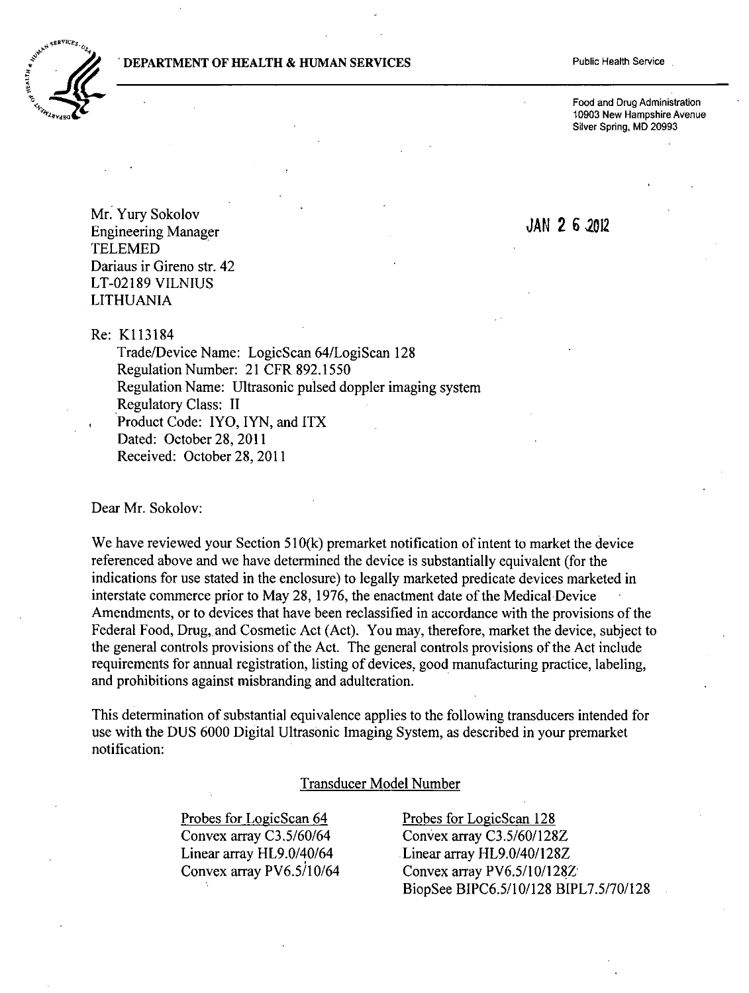# **DEPARTMENT OF HEALTH & HUMAN SERVICES** Public Health Service



Food and Drug Administration **10903** New Hampshire Avenue Silver Spring, MD **20993**

Mr. Yury Sokolov<br>JAN 26.2012 **Engineering Manager TELEMED** Dariaus ir Gireno str. 42 **LT-02 189 VILNIUS** LITHUANIA

Re: K113184

Trade/Device Name: LogicScan 64/LogiScan **128** Regulation Number: 21 CER **892.1550** Regulation Name: Ultrasonic pulsed doppler imaging system Regulatory Class: II Product Code: IYO, IYN, and ITX Dated: October 28, 2011 Received: October **28,** 2011

Dear Mr. Sokolov:

We have reviewed your Section 510(k) premarket notification of intent to market the device referenced above and we have determined the device is substantially equivalent (for the indications for use stated in the enclosure) to legally marketed predicate devices marketed in interstate commerce prior to May **28, 1976,** the enactment date of the Medical Device Amendments, or to devices that have been reclassified in accordance with the provisions of the Federal Food, Drug, and Cosmetic Act (Act). You may, therefore, market the device, subject to the general controls provisions of the Act. The general controls provisions of the Act include requirements for annual registration, listing of devices, good manufacturing practice, labeling, and prohibitions against misbranding and adulteration.

This determination of substantial equivalence applies to the following transducers intended for use with the **DUS 6000** Digital Ultrasonic Imaging System, as described in your premarket notification:

# Transducer Model Number

Probes for LogicScan 64 Probes for LogicScan 128

Convex array **C3.5/60/64** Convex array **C3.5/60/128Z** Linear array HL9.0/40/64 Linear array HL9.0/40/128Z Convex array PV6.5/10/64 Convex array PV6.5/10/128Z-BiopSee **BIPC6.5/l0/128 BIPL7.5/70/128**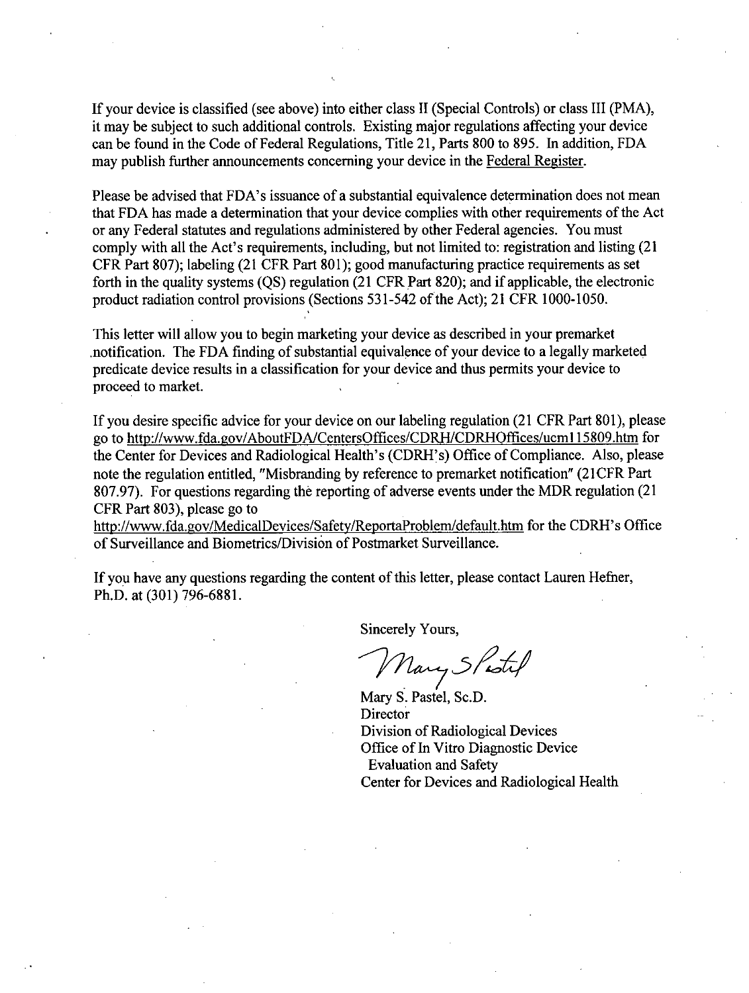**If** your device is classified (see above) into either class **11** (Special Controls) or class III (PMA), it may be subject to such additional controls. Existing major regulations affecting your device can be found in the Code of Federal Regulations, Title 21, Parts **800** to **895.** In addition, **FDA** may publish further announcements concerning your device in the Federal Register.

Please be advised that FDA's issuance of a substantial equivalence determination does not mean that **FDA** has made a determination that your device complies with other requirements of the Act or any Federal statutes and regulations administered **by** other Federal agencies. You must comply with all the Act's requirements, including, but not limited to: registration and listing (21 CFR Part **807);** labeling (21 CFR Part **801);** good manufacturing practice requirements as set forth in the quality systems **(QS)** regulation (21 CFR Part **820);** and if applicable, the electronic product radiation control provisions (Sections **531-542** of the Act); 21 CFR **1000-1050.**

This letter will allow you to begin marketing your device as described in your premarket .notification. The **FDA** finding of substantial equivalence of your device to a legally marketed predicate device results in a classification for your device and thus permits your device to proceed to market.

**If** you desire specific advice for your device on our labeling regulation (21 CFR Part **801),** please go to http://www.fda.gov/AboutFDA/CentersOffices/CDRH/CDRHOffices/ucml 1 5809.htm for the Center for Devices and Radiological Health's (CDRH's) Office of Compliance. Also, please note the regulation entitled, "Misbranding **by** reference to premarket notification" (2 **1** CFR Part **807.97).** For questions regarding the reporting of adverse events under the MDR regulation (21 CFR Part **803),** please go to

http://www.fda.gov/MedicalDevices/Safety/ReportaProblem/default.htm for the CDRH's Office of Surveillance and Biometrics/Division of Postmarket Surveillance.

If you have any questions regarding the content of this letter, please contact Lauren Hefner, Ph.D. at **(301) 796-6881.**

Sincerely Yours,

Mary Shotil

Mary **S.** Pastel, Sc.D. **Director** Division of Radiological Devices Office of In Vitro Diagnostic Device Evaluation and Safety Center for Devices and Radiological Health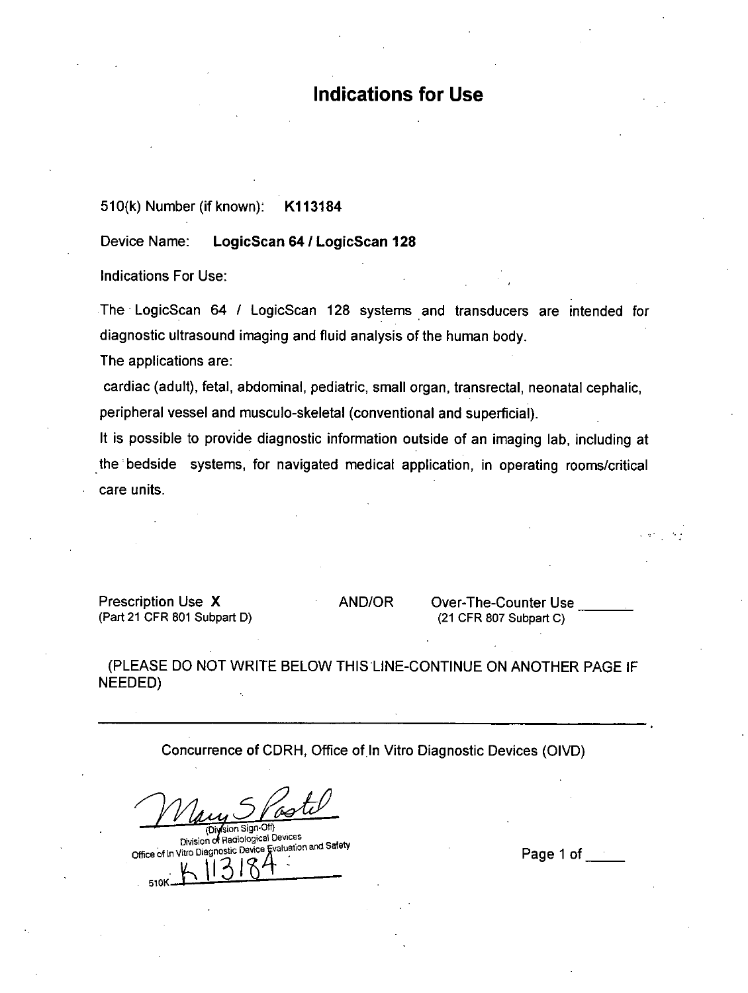# **Indications for Use**

**51 0(k)** Number (if known): KI 13184

Device Name: LogicScan 64 / LogicScan 128

Indications For Use:

The LogicScan 64 ILogicScan **128** systems and transducers are intended for diagnostic ultrasound imaging and fluid analysis of the human body.

The applications are:

cardiac (adult), fetal, abdominal, pediatric, small organ, transrectal, neonatal cephalic, peripheral vessel and musculo-skeletal (conventional and superficial).

It is possible to provide diagnostic information outside of an imaging lab, including at the bedside systems, for navigated medical application, in operating rooms/critical care units.

Prescription Use X AND/OR Over-The-Counter Use (Part 21 CFR **801** Subpart **0)** (21 CFR **807** Subpart **C)**

**(PLEASE DO NOT** WRITE BELOW **THIS'LINE-CONTINUE ON** ANOTHER **PAGE** IF **NEEDED)**

Concurrence of CDRH, Office of In Vitro Diagnostic Devices (OIVD)

(Division Sign-Off)<br>Division of Radiological Devices Division iadtologcaI Devices office of in vitro Diagnostic D)evie <sup>4</sup> authfansasy Page **1** of \_\_\_\_ 510K-l1U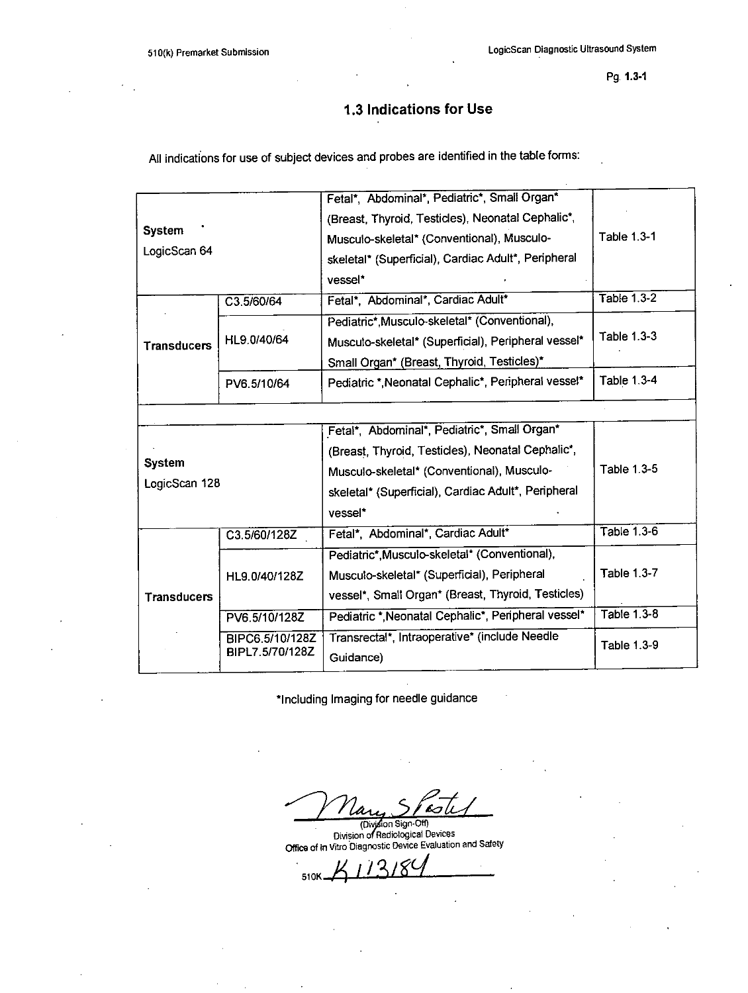# **1.3 Indications for Use**

**All** indications for use of subject devices and probes are identified in the table forms:

| <b>System</b><br>LogicScan 64  |                                    | Fetal*, Abdominal*, Pediatric*, Small Organ*<br>(Breast, Thyroid, Testicles), Neonatal Cephalic*,<br>Musculo-skeletal* (Conventional), Musculo-<br>skeletal* (Superficial), Cardiac Adult*, Peripheral<br>vessel* | <b>Table 1.3-1</b> |
|--------------------------------|------------------------------------|-------------------------------------------------------------------------------------------------------------------------------------------------------------------------------------------------------------------|--------------------|
|                                | C3.5/60/64                         | Fetal*, Abdominal*, Cardiac Adult*                                                                                                                                                                                | <b>Table 1.3-2</b> |
| <b>Transducers</b>             | HL9.0/40/64                        | Pediatric*, Musculo-skeletal* (Conventional),<br>Musculo-skeletal* (Superficial), Peripheral vessel*<br>Small Organ* (Breast, Thyroid, Testicles)*                                                                | Table 1.3-3        |
|                                | PV6.5/10/64                        | Pediatric *, Neonatal Cephalic*, Peripheral vessel*                                                                                                                                                               | <b>Table 1.3-4</b> |
|                                |                                    |                                                                                                                                                                                                                   |                    |
| <b>System</b><br>LogicScan 128 |                                    | Fetal*, Abdominal*, Pediatric*, Small Organ*<br>(Breast, Thyroid, Testicles), Neonatal Cephalic*,<br>Musculo-skeletal* (Conventional), Musculo-<br>skeletal* (Superficial), Cardiac Adult*, Peripheral<br>vessel* | Table 1.3-5        |
|                                | C3.5/60/128Z                       | Fetal*, Abdominal*, Cardiac Adult*                                                                                                                                                                                | <b>Table 1.3-6</b> |
| <b>Transducers</b>             | HL9.0/40/128Z                      | Pediatric*, Musculo-skeletal* (Conventional),<br>Musculo-skeletal* (Superficial), Peripheral<br>vessel*, Small Organ* (Breast, Thyroid, Testicles)                                                                | <b>Table 1.3-7</b> |
|                                | PV6.5/10/128Z                      | Pediatric *, Neonatal Cephalic*, Peripheral vessel*                                                                                                                                                               | Table 1.3-8        |
|                                | BIPC6.5/10/128Z<br>BIPL7.5/70/128Z | Transrectal*, Intraoperative* (include Needle<br>Guidance)                                                                                                                                                        | <b>Table 1.3-9</b> |

\*Including Imaging for needle guidance

 $\mathcal{L}$ 

Office of in Vitro Diagnostic Device Evaluation and Safety<br>Office of in Vitro Diagnostic Device Evaluation and Safety

2 510K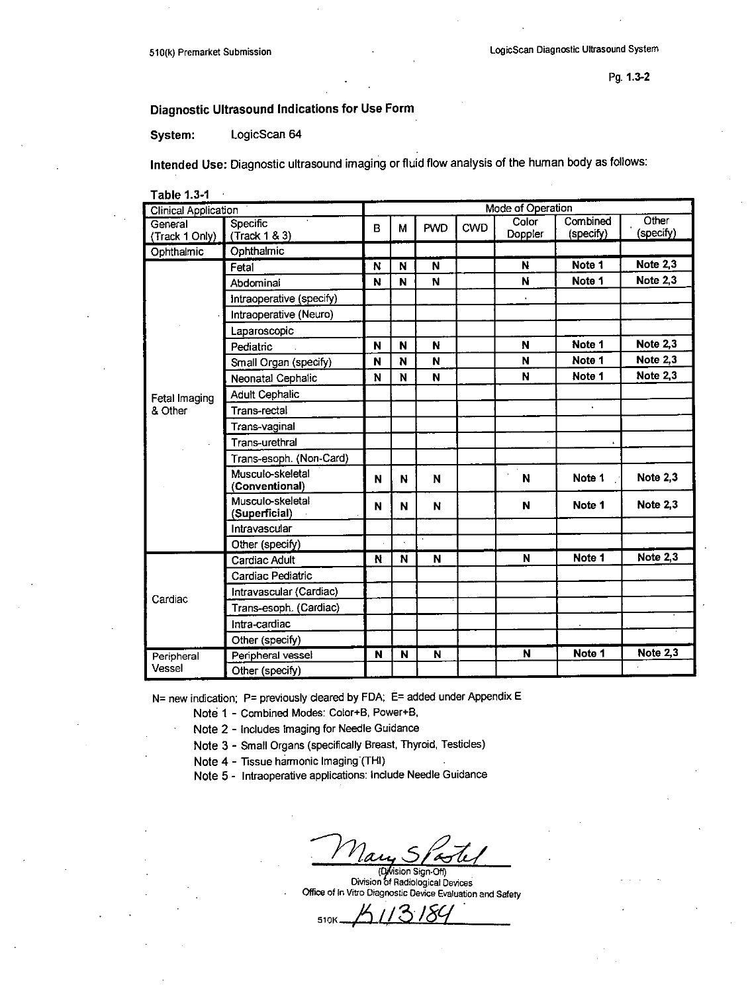# Diagnostic Ultrasound Indications for Use Form

LogicScan 64 System:

Intended Use: Diagnostic ultrasound imaging or fluid flow analysis of the human body as follows:

**Table 1.3-1** 

| <b>Clinical Application</b> |                                    |   | Mode of Operation |            |            |                  |                       |                    |  |  |  |
|-----------------------------|------------------------------------|---|-------------------|------------|------------|------------------|-----------------------|--------------------|--|--|--|
| General<br>(Track 1 Only)   | Specific<br>(Track 1 & 3)          | B | M                 | <b>PWD</b> | <b>CWD</b> | Color<br>Doppler | Combined<br>(specify) | Other<br>(specify) |  |  |  |
| Ophthalmic                  | Ophthalmic                         |   |                   |            |            |                  |                       |                    |  |  |  |
|                             | Fetal                              | N | N                 | N          |            | N                | Note 1                | <b>Note 2,3</b>    |  |  |  |
|                             | Abdominal                          | N | N                 | N          |            | N                | Note 1                | Note 2,3           |  |  |  |
|                             | intraoperative (specify)           |   |                   |            |            | ¥.               |                       |                    |  |  |  |
|                             | Intraoperative (Neuro)             |   |                   |            |            |                  |                       |                    |  |  |  |
|                             | Laparoscopic                       |   |                   |            |            |                  |                       |                    |  |  |  |
|                             | Pediatric                          | N | N                 | N          |            | N                | Note 1                | <b>Note 2,3</b>    |  |  |  |
|                             | Small Organ (specify)              | N | N                 | N          |            | N                | Note 1                | <b>Note 2,3</b>    |  |  |  |
|                             | Neonatal Cephalic                  | N | N                 | N          |            | N                | Note 1                | <b>Note 2,3</b>    |  |  |  |
| Fetal Imaging               | <b>Adult Cephalic</b>              |   |                   |            |            |                  |                       |                    |  |  |  |
| & Other                     | Trans-rectal                       |   |                   |            |            |                  |                       |                    |  |  |  |
|                             | Trans-vaginal                      |   |                   |            |            |                  |                       |                    |  |  |  |
|                             | Trans-urethral                     |   |                   |            |            |                  |                       |                    |  |  |  |
|                             | Trans-esoph. (Non-Card)            |   |                   |            |            |                  |                       |                    |  |  |  |
|                             | Musculo-skeletal<br>(Conventional) | N | N                 | N          |            | N                | Note 1                | <b>Note 2,3</b>    |  |  |  |
|                             | Musculo-skeletal<br>(Superficial)  | N | N                 | N          |            | $\mathbf N$      | Note 1                | <b>Note 2.3</b>    |  |  |  |
|                             | Intravascular                      |   |                   |            |            |                  |                       |                    |  |  |  |
|                             | Other (specify)                    |   |                   |            |            |                  |                       |                    |  |  |  |
|                             | Cardiac Adult                      | N | N                 | N          |            | N                | Note 1                | <b>Note 2,3</b>    |  |  |  |
|                             | Cardiac Pediatric                  |   |                   |            |            |                  |                       |                    |  |  |  |
| Cardiac                     | Intravascular (Cardiac)            |   |                   |            |            |                  |                       |                    |  |  |  |
|                             | Trans-esoph. (Cardiac)             |   |                   |            |            |                  |                       |                    |  |  |  |
|                             | Intra-cardiac                      |   |                   |            |            |                  |                       |                    |  |  |  |
|                             | Other (specify)                    |   |                   |            |            |                  |                       |                    |  |  |  |
| Peripheral                  | Peripheral vessel                  | N | N                 | N          |            | N                | Note 1                | Note 2,3           |  |  |  |
| Vessel                      | Other (specify)                    |   |                   |            |            |                  |                       |                    |  |  |  |

N= new indication; P= previously cleared by FDA; E= added under Appendix E

- Note 1 Combined Modes: Color+B, Power+B,
- Note 2 Includes Imaging for Needle Guidance
- Note 3 Small Organs (specifically Breast, Thyroid, Testicles)
- Note 4 Tissue harmonic Imaging (THI)
- Note 5 Intraoperative applications: Include Needle Guidance

(Dylision Sign-Off)<br>Division of Radiological Devices Office of in Vitro Diagnostic Device Evaluation and Safety

510K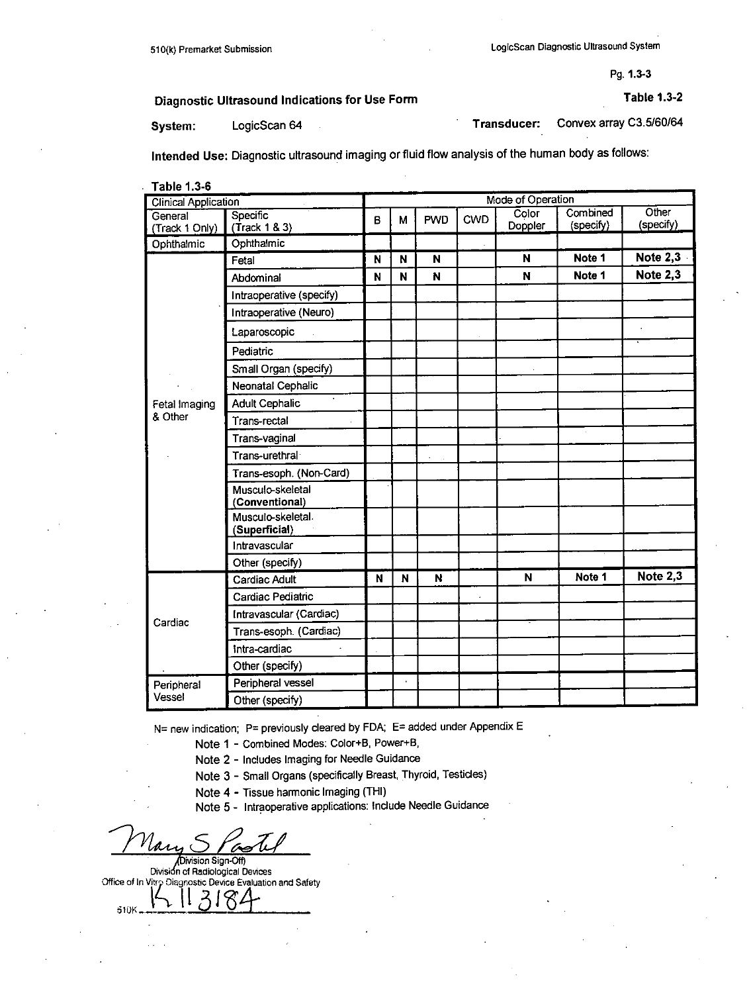Diagnostic Ultrasound Indications for Use Form Table **1.3-2**

System: LogicScan 64 Convex array C3.5/60/64

Intended Use: Diagnostic ultrasound imaging or fluid flow analysis of the human body as follows:

| Table 1.3-6<br>Mode of Operation |                                    |   |    |            |            |         |           |            |
|----------------------------------|------------------------------------|---|----|------------|------------|---------|-----------|------------|
| <b>Clinical Application</b>      |                                    |   |    |            |            | Color   | Combined  | Other      |
| General<br>(Track 1 Only)        | Specific<br>(Trock 1 & 3)          | в | M  | <b>PWD</b> | <b>CWD</b> | Doppler | (specify) | (specify)  |
| Ophthalmic                       | Ophthalmic                         |   |    |            |            |         |           |            |
|                                  | Fetal                              | N | N  | N          |            | N       | Note 1    | Note $2,3$ |
|                                  | Abdominal                          | N | N  | N          |            | N       | Note 1    | Note 2,3   |
|                                  | Intraoperative (specify)           |   |    |            |            |         |           |            |
|                                  | Intraoperative (Neuro)             |   |    |            |            |         |           |            |
|                                  | Laparoscopic                       |   |    |            |            |         |           |            |
|                                  | Pediatric                          |   |    |            |            |         |           |            |
|                                  | Small Organ (specify)              |   |    |            |            |         |           |            |
|                                  | Neonatal Cephalic                  |   |    |            |            |         |           |            |
| Fetal Imaging                    | à.<br><b>Adult Cephalic</b>        |   |    |            |            |         |           |            |
| & Other                          | Trans-rectal                       |   |    |            |            |         |           |            |
|                                  | Trans-vaginal                      |   |    |            |            |         |           |            |
|                                  | Trans-urethral                     |   |    |            |            |         |           |            |
|                                  | Trans-esoph. (Non-Card)            |   |    |            |            |         |           |            |
|                                  | Musculo-skeletal<br>(Conventional) |   |    |            |            |         |           |            |
|                                  | Musculo-skeletal.<br>(Superficial) |   |    |            |            |         |           |            |
|                                  | Intravascular                      |   |    |            |            |         |           |            |
|                                  | Other (specify)                    |   |    |            |            |         |           |            |
|                                  | Cardiac Adult                      | N | N  | N          |            | N       | Note 1    | Note $2,3$ |
|                                  | Cardiac Pediatric                  |   |    |            |            |         |           |            |
| Cardiac                          | Intravascular (Cardiac)            |   |    |            |            |         |           |            |
|                                  | Trans-esoph. (Cardiac)             |   |    |            |            |         |           |            |
|                                  | Intra-cardiac                      |   |    |            |            |         |           |            |
|                                  | Other (specify)                    |   |    |            |            |         |           |            |
| Peripheral                       | Peripheral vessel                  |   | ÷, |            |            |         |           |            |
| Vessel                           | Other (specify)                    |   |    |            |            |         |           |            |

**N=** new indication; P= previously cleared **by FDA; E=** added under Appendix **E**

Note 1 - Combined Modes: Color+B, Power+B,

Note 2 **-** Includes Imaging for Needle Guidance

Note **3 -** Small Organs (specifically Breast, Thyroid, Testicles)

Note 4 **-** Tissue harmonic Imaging (THl)

Note **5 -** lntraoperative applications: Include Needle Guidance

Division Sign-Off)

Division of Radiological Devices **Office of In Vitro Diagnostic Device Evaluation and Safety** 

510K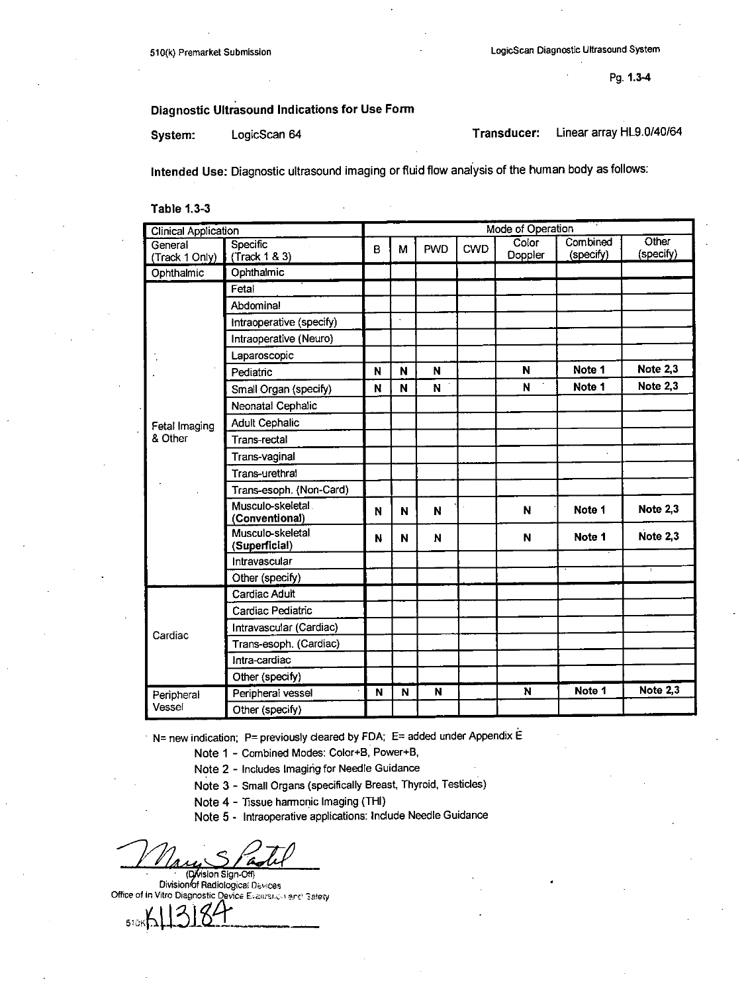# Diagnostic Ultrasound Indications for Use Form

System: LogicScan 64 Transducer: Linear array HL9.0/40/64

Intended Use: Diagnostic ultrasound imaging or fluid flow analysis of the human body as follows:

Table **1.3-3**

| <b>Clinical Application</b> |                                     | Mode of Operation |    |             |            |                  |                       |                    |
|-----------------------------|-------------------------------------|-------------------|----|-------------|------------|------------------|-----------------------|--------------------|
| General<br>(Track 1 Only)   | Specific<br>(Trock 1 & 3)           | B                 | М  | <b>PWD</b>  | <b>CWD</b> | Color<br>Doppler | Combined<br>(specify) | Other<br>(specify) |
| Ophthalmic                  | Ophthalmic                          |                   |    |             |            |                  |                       |                    |
|                             | Fetal                               |                   |    |             |            |                  |                       |                    |
|                             | Abdominal                           |                   |    |             |            |                  |                       |                    |
|                             | Intraoperative (specify)            |                   | ÷. |             |            |                  |                       |                    |
|                             | Intraoperative (Neuro)              |                   |    |             |            |                  |                       |                    |
|                             | Laparoscopic                        |                   |    |             |            |                  |                       |                    |
|                             | Pediatric                           | N                 | N  | N           |            | N                | Note 1                | <b>Note 2,3</b>    |
|                             | Small Organ (specify)               | N                 | N  | N           |            | N                | Note 1                | <b>Note 2,3</b>    |
|                             | Neonatal Cephalic                   |                   |    |             |            |                  |                       |                    |
| Fetal Imaging               | <b>Adult Cephalic</b>               |                   |    |             |            |                  |                       |                    |
| & Other                     | Trans-rectal                        |                   |    |             |            |                  |                       |                    |
|                             | Trans-vaginal                       |                   |    |             |            |                  |                       |                    |
|                             | Trans-urethral                      |                   |    |             |            |                  |                       |                    |
|                             | Trans-esoph. (Non-Card)             |                   |    |             |            |                  |                       |                    |
|                             | Musculo-skeletal.<br>(Conventional) | N                 | N  | N           |            | N                | Note 1                | Note 2.3           |
|                             | Musculo-skeletal<br>(Superficial)   | N                 | N  | $\mathbf N$ |            | N                | Note 1                | Note 2.3           |
|                             | Intravascular                       |                   |    |             |            |                  |                       |                    |
|                             | Other (specify)                     |                   |    |             |            |                  |                       | $\mathbf{1}$       |
|                             | Cardiac Adult                       |                   |    |             |            |                  |                       |                    |
|                             | Cardiac Pediatric                   |                   |    |             |            |                  |                       |                    |
| Cardiac                     | Intravascular (Cardiac)             |                   |    |             |            |                  |                       |                    |
|                             | Trans-esoph. (Cardiac)              |                   |    |             |            |                  |                       |                    |
|                             | Intra-cardiac                       |                   |    |             |            |                  |                       |                    |
|                             | Other (specify)                     |                   |    |             |            |                  |                       |                    |
| Peripheral                  | Peripheral vessel                   | N                 | N  | N           |            | N                | Note 1                | <b>Note 2,3</b>    |
| Vessel                      | Other (specify)                     |                   |    |             |            |                  |                       |                    |

**N=** new indication; P= previously cleared by FDA; E= added under Appendix E

Note **1 -** Combined Modes: Color+B, Power+B,

Note 2 **-** Includes Imaging for Needle Guidance

Note **3 -** Small Organs (specifically Breast, Thyroid, Testicles)

Note 4 **-** Tissue harmonic Imaging (THI)

Note **5 -** lntraoperative applications: Include Needle Guidance

(**Division Sign-Off)**<br>Division of Radiological Devices 'Office of In Vitro Diagnostic Device £.aalarc. **1** rc 3tc

 $510$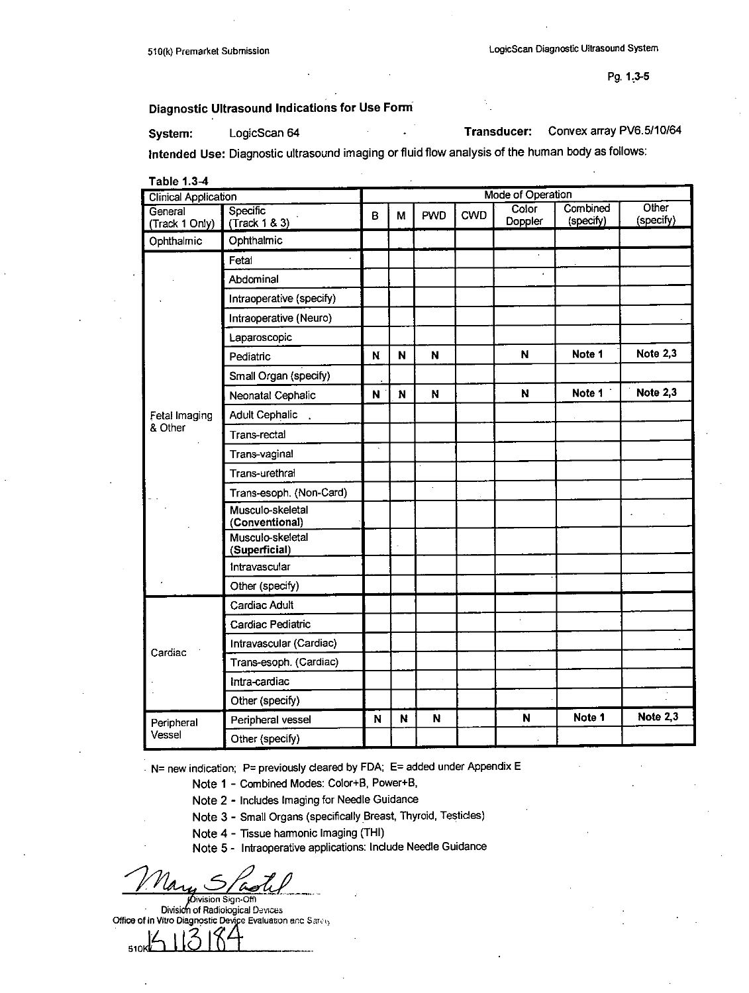# Diagnostic Ultrasound Indications for Use Form

System: LogicScan 64 .Transducer: Convex array PV6.5110164

Intended Use: Diagnostic ultrasound imaging or fluid flow analysis of the human body as follows:

| Table 1.3-4<br><b>Clinical Application</b> |                                    |   | <b>Mode of Operation</b> |                    |     |                  |                       |                    |  |  |
|--------------------------------------------|------------------------------------|---|--------------------------|--------------------|-----|------------------|-----------------------|--------------------|--|--|
| General<br>(Track 1 Only)                  | Specific<br>(Trock 1 & 3)          | B | М                        | PWD                | CWD | Color<br>Doppler | Combined<br>(specify) | Other<br>(specify) |  |  |
| Ophthalmic                                 | Ophthalmic                         |   |                          |                    |     |                  |                       |                    |  |  |
|                                            | Fetal                              |   |                          |                    |     |                  |                       |                    |  |  |
|                                            | Abdominal                          |   |                          |                    |     | $\lambda$        |                       |                    |  |  |
|                                            | Intraoperative (specify)           |   |                          |                    |     |                  |                       |                    |  |  |
|                                            | Intraoperative (Neuro)             |   |                          |                    |     |                  |                       |                    |  |  |
|                                            | Laparoscopic                       |   |                          |                    |     |                  |                       |                    |  |  |
|                                            | Pediatric                          | N | N                        | N                  |     | N                | Note 1                | Note 2,3           |  |  |
|                                            | Small Organ (specify)              |   |                          |                    |     |                  |                       |                    |  |  |
|                                            | Neonatal Cephalic                  | N | N                        | N                  |     | N                | Note 1                | Note 2,3           |  |  |
| Fetal Imaging                              | Adult Cephalic                     |   |                          |                    |     |                  |                       |                    |  |  |
| & Other                                    | Trans-rectal                       |   |                          |                    |     |                  |                       |                    |  |  |
|                                            | Trans-vaginal                      |   |                          |                    |     |                  |                       |                    |  |  |
|                                            | Trans-urethral                     |   |                          |                    |     |                  |                       |                    |  |  |
|                                            | Trans-esoph. (Non-Card)            |   |                          | $\bar{\mathbf{v}}$ |     |                  |                       |                    |  |  |
|                                            | Musculo-skeletal<br>(Conventional) |   |                          |                    |     |                  |                       |                    |  |  |
|                                            | Musculo-skeletal<br>(Superficial)  |   |                          |                    |     |                  |                       |                    |  |  |
|                                            | Intravascular                      |   |                          |                    |     |                  |                       |                    |  |  |
|                                            | Other (specify)                    |   |                          |                    |     |                  |                       |                    |  |  |
|                                            | Cardiac Adult                      |   |                          |                    |     |                  |                       |                    |  |  |
|                                            | Cardiac Pediatric                  |   |                          |                    |     |                  |                       |                    |  |  |
| Cardiac                                    | Intravascular (Cardiac)            |   |                          |                    |     |                  |                       |                    |  |  |
|                                            | Trans-esoph. (Cardiac)             |   |                          |                    |     |                  |                       |                    |  |  |
|                                            | Intra-cardiac                      |   |                          |                    |     |                  |                       |                    |  |  |
|                                            | Other (specify)                    |   |                          |                    |     |                  |                       |                    |  |  |
| Peripheral                                 | Peripheral vessel                  | N | N                        | N                  |     | $\mathbf N$      | Note 1                | Note 2,3           |  |  |
| Vessel                                     | Other (specify)                    |   |                          |                    |     |                  |                       |                    |  |  |

**N=** new indication; P= previously cleared **by FDA; E=** added under Appendix **E**

- Note **1 -** Combined Modes: Color+8, Power+B,
- Note 2 **-** Includes Imaging for Needle Guidance
- Note **3 -** Small Organs (specifically Breast, Thyroid, Testicles)

Note 4 **-** Tissue harmonic Imaging (THI)

Note **5 -** lntraoperative applications: Include Needle Guidance

510

**Division Sign-Offi** Division of Radiological Devices Office of In Vitro Diagnostic Device Evaluation and Sarah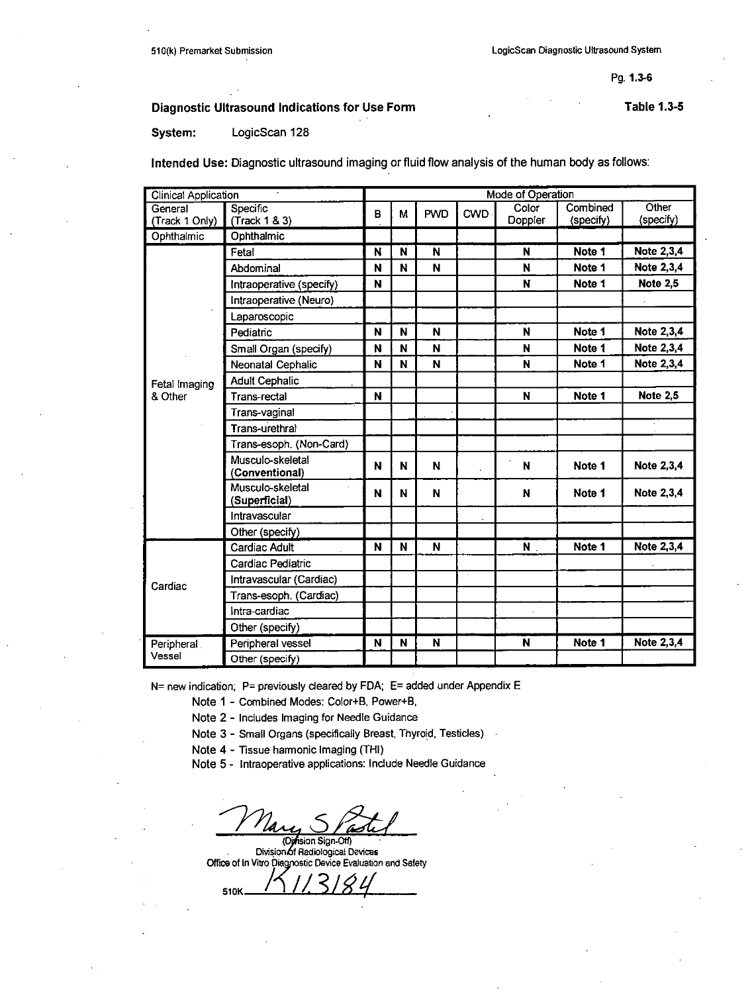# Diagnostic Ultrasound Indications for Use Form **Table 1.3-5** Table 1.3-5

System: LogicScan **128**

Intended Use: Diagnostic ultrasound imaging or fluid flow analysis of the human body as follows:

| <b>Clinical Application</b> |                                    |   | Mode of Operation |            |            |                  |                       |                    |  |  |  |
|-----------------------------|------------------------------------|---|-------------------|------------|------------|------------------|-----------------------|--------------------|--|--|--|
| General<br>(Track 1 Only)   | Specific<br>(Track 1 & 3)          | в | М                 | <b>PWD</b> | <b>CWD</b> | Color<br>Doppler | Combined<br>(specify) | Other<br>(specify) |  |  |  |
| Ophthalmic                  | Ophthalmic                         |   |                   |            |            |                  |                       |                    |  |  |  |
|                             | Fetal                              | N | N                 | N          |            | N                | Note 1                | Note 2,3,4         |  |  |  |
|                             | Abdominal                          | N | N                 | N          |            | N                | Note 1                | Note 2,3,4         |  |  |  |
|                             | Intraoperative (specify)           | N |                   |            |            | N                | Note 1                | <b>Note 2,5</b>    |  |  |  |
|                             | Intraoperative (Neuro)             |   |                   |            |            |                  |                       |                    |  |  |  |
|                             |                                    |   |                   |            |            |                  |                       |                    |  |  |  |
|                             | Laparoscopic                       | N | N                 | N          |            | N                | Note 1                | Note 2,3,4         |  |  |  |
|                             | Pediatric                          |   |                   |            |            |                  |                       |                    |  |  |  |
|                             | Small Organ (specify)              | N | N                 | N          |            | N                | Note 1                | Note 2,3,4         |  |  |  |
|                             | <b>Neonatal Cephalic</b>           | N | N                 | N          |            | N                | Note 1                | Note 2,3,4         |  |  |  |
| Fetal Imaging               | <b>Adult Cephalic</b>              |   |                   |            |            |                  |                       |                    |  |  |  |
| & Other                     | Trans-rectal                       | N |                   |            |            | N                | Note 1                | <b>Note 2,5</b>    |  |  |  |
|                             | Trans-vaginal                      |   |                   |            |            |                  |                       |                    |  |  |  |
|                             | Trans-urethral                     |   |                   |            |            |                  |                       |                    |  |  |  |
|                             | Trans-esoph. (Non-Card)            |   |                   |            |            |                  |                       |                    |  |  |  |
|                             | Musculo-skeletal<br>(Conventional) | N | N                 | N          |            | N                | Note 1                | Note 2,3,4         |  |  |  |
|                             | Musculo-skeletal<br>(Superficial)  | N | N                 | N          |            | N                | Note 1                | Note 2,3,4         |  |  |  |
|                             | Intravascular                      |   |                   |            |            |                  |                       |                    |  |  |  |
|                             | Other (specify)                    |   |                   |            |            |                  |                       |                    |  |  |  |
|                             | <b>Cardiac Adult</b>               | N | N                 | N          |            | $N$ .            | Note 1                | Note 2,3,4         |  |  |  |
|                             | Cardiac Pediatric                  |   |                   |            |            |                  |                       |                    |  |  |  |
|                             | Intravascular (Cardiac)            |   |                   |            |            |                  |                       |                    |  |  |  |
| Cardiac                     | Trans-esoph. (Cardiac)             |   |                   |            |            |                  |                       |                    |  |  |  |
|                             | Intra-cardiac                      |   |                   |            |            |                  |                       |                    |  |  |  |
|                             | Other (specify)                    |   |                   |            |            |                  |                       |                    |  |  |  |
| Peripheral.                 | Peripheral vessel                  | N | N                 | N          |            | N                | Note 1                | Note 2,3,4         |  |  |  |
| Vessel                      | Other (specify)                    |   |                   |            |            |                  |                       |                    |  |  |  |

**N=** new indication; P= previously cleared **by FDA; E=** added under Appendix **E**

Note **1 -** Combined Modes: Color+8, Power+B,

Note 2 **-** Includes Imaging for Needle Guidance

Note **3 -** Small Organs (specifically Breast, Thyroid, Testicles)

Note 4 **-** Tissue harmonic Imaging (THI)

Note 5 - Intraoperative applications: Include Needle Guidance

**Qyfision Sign-Off**<br>Division of Radiological Devices

Office of In Vitro Diagnostic Device Evaluation and Safety

**£10~~** \_\_\_Z\_\_\_\_4/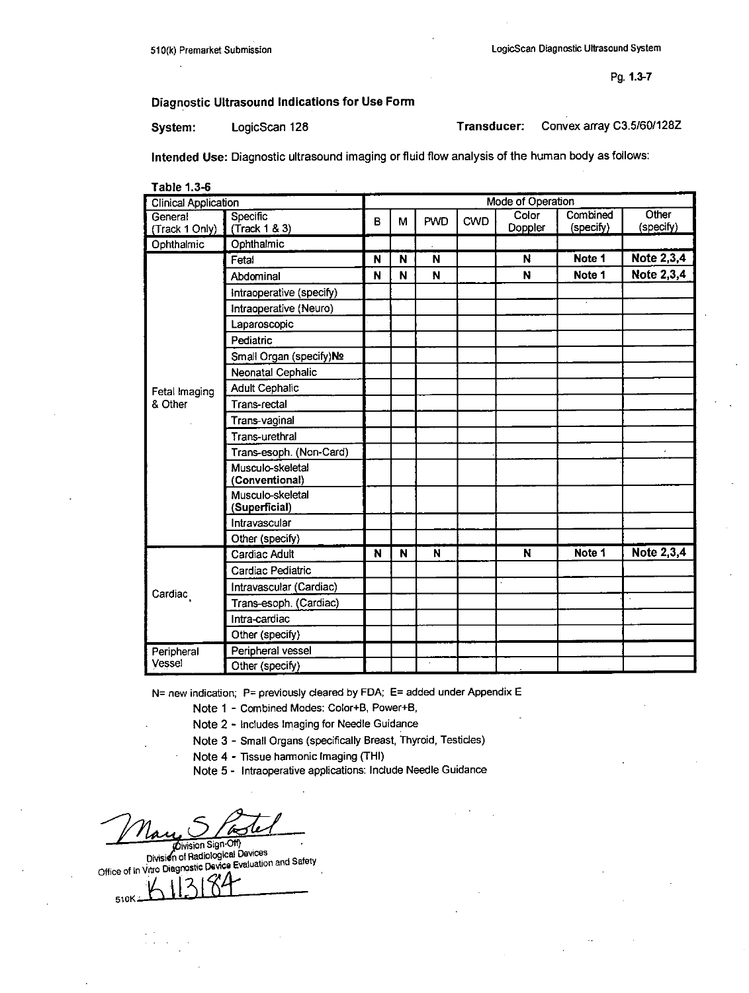# Diagnostic Ultrasound Indications for Use Form

System: LogicScan 128 Transducer:

Convex array C3.5/60/128Z

Intended Use: Diagnostic ultrasound imaging or fluid flow analysis of the human body as follows:

| Table 1.3-6                 | <b>Mode of Operation</b>           |   |   |            |            |                  |                       |                    |
|-----------------------------|------------------------------------|---|---|------------|------------|------------------|-----------------------|--------------------|
| <b>Clinical Application</b> |                                    |   |   |            |            |                  |                       |                    |
| General                     | Specific                           | B | М | <b>PWD</b> | <b>CWD</b> | Color<br>Doppler | Combined<br>(specify) | Other<br>(specify) |
| (Track 1 Only)              | (Track 1 & 3)<br>Ophthalmic        |   |   |            |            |                  |                       |                    |
| Ophthalmic                  |                                    |   |   |            |            |                  | Note 1                | <b>Note 2,3,4</b>  |
|                             | Fetal                              | N | N | N          |            | N                |                       |                    |
|                             | Abdominal                          | N | N | N          |            | N                | Note 1                | <b>Note 2,3,4</b>  |
|                             | Intraoperative (specify)           |   |   |            |            |                  |                       |                    |
|                             | Intraoperative (Neuro)             |   |   |            |            |                  |                       |                    |
|                             | Laparoscopic                       |   |   |            |            |                  |                       |                    |
|                             | Pediatric                          |   |   |            |            |                  |                       |                    |
|                             | Small Organ (specify)No            |   |   |            |            |                  |                       |                    |
|                             | Neonatal Cephalic                  |   |   |            |            |                  |                       |                    |
| Fetal Imaging               | <b>Adult Cephalic</b>              |   |   |            |            |                  |                       |                    |
| & Other                     | Trans-rectal                       |   |   |            |            |                  |                       |                    |
|                             | Trans-vaginal                      |   |   |            |            |                  |                       |                    |
|                             | Trans-urethral                     |   |   |            |            |                  |                       |                    |
|                             | Trans-esoph. (Non-Card)            |   |   |            |            |                  |                       |                    |
|                             | Musculo-skeletal<br>(Conventional) |   |   |            |            |                  |                       |                    |
|                             | Musculo-skeletal<br>(Superficial)  |   |   |            |            |                  |                       |                    |
|                             | Intravascular                      |   |   |            |            |                  |                       |                    |
|                             | Other (specify)                    |   |   |            |            |                  |                       |                    |
|                             | Cardiac Adult                      | N | N | N          |            | N                | Note 1                | Note 2,3,4         |
|                             | Cardiac Pediatric                  |   |   |            |            |                  |                       |                    |
|                             | Intravascular (Cardiac)            |   |   |            |            |                  |                       |                    |
| Cardiac                     | Trans-esoph. (Cardiac)             |   |   |            |            |                  |                       |                    |
|                             | Intra-cardiac                      |   |   |            |            |                  |                       |                    |
|                             | Other (specify)                    |   |   |            |            |                  |                       |                    |
| Peripheral                  | Peripheral vessel                  |   |   |            |            |                  |                       |                    |
| Vessel                      | Other (specify)                    |   |   | $\alpha$   |            |                  |                       |                    |

N= new indication; P= previously cleared by FDA; E= added under Appendix E

Note 1 - Combined Modes: Color+B, Power+B,

Note 2 - Includes Imaging for Needle Guidance

Note 3 - Small Organs (specifically Breast, Thyroid, Testicles)

Note 4 - Tissue harmonic Imaging (THI)

Note 5 - Intraoperative applications: Include Needle Guidance

Division Sign-Off)<br>Division of Radiological Devices Office of In Vitro Diagnostic Device Evaluation and Safety 510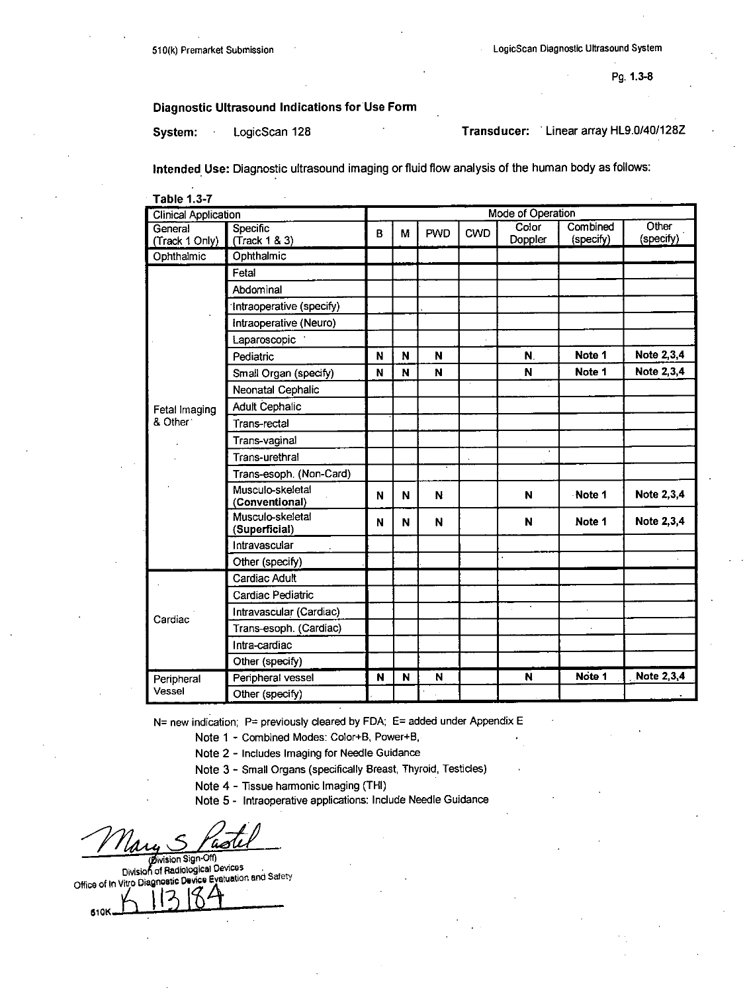# Diagnostic Ultrasound Indications for Use Form

System: LogicScan 128 **Transducer:** Linear array HLS.0/40/128Z

Intended Use: Diagnostic ultrasound imaging or fluid flow analysis of the human body as follows:

| <b>Table 1.3-7</b>          |                                    |   |   |            |            |                          |                       |                    |  |
|-----------------------------|------------------------------------|---|---|------------|------------|--------------------------|-----------------------|--------------------|--|
| <b>Clinical Application</b> |                                    |   |   |            |            | <b>Mode of Operation</b> |                       |                    |  |
| General                     | Specific                           | B | M | <b>PWD</b> | <b>CWD</b> | Color<br>Doppler         | Combined<br>(specify) | Other<br>(specify) |  |
| (Track 1 Only)              | (Track 1 & 3)<br>Ophthalmic        |   |   |            |            |                          |                       |                    |  |
| Ophthalmic                  |                                    |   |   |            |            |                          |                       |                    |  |
|                             | Fetal                              |   |   |            |            |                          |                       |                    |  |
|                             | Abdominal                          |   |   |            |            |                          |                       |                    |  |
|                             | Intraoperative (specify)           |   |   |            |            |                          |                       |                    |  |
|                             | intraoperative (Neuro)             |   |   |            |            |                          |                       |                    |  |
|                             | Laparoscopic                       |   |   |            |            |                          |                       |                    |  |
|                             | Pediatric                          | N | N | N          |            | N.                       | Note 1                | Note 2,3,4         |  |
|                             | Small Organ (specify)              | N | N | N          |            | N                        | Note 1                | Note 2,3,4         |  |
|                             | Neonatal Cephalic                  |   |   |            |            |                          |                       |                    |  |
| Fetal Imaging               | <b>Adult Cephalic</b>              |   |   |            |            |                          |                       |                    |  |
| & Other:                    | Trans-rectal                       |   |   |            |            |                          |                       |                    |  |
|                             | Trans-vaginal                      |   |   |            |            |                          |                       |                    |  |
|                             | Trans-urethral                     |   |   |            |            |                          |                       |                    |  |
|                             | Trans-esoph. (Non-Card)            |   |   |            |            |                          |                       |                    |  |
|                             | Musculo-skeletal<br>(Conventional) | N | N | N          |            | $\mathbf N$              | Note 1                | Note 2,3,4         |  |
|                             | Musculo-skeletal<br>(Superficial)  | N | N | N          |            | N                        | Note 1                | Note 2,3,4         |  |
|                             | Intravascular                      |   |   |            |            |                          |                       |                    |  |
|                             | Other (specify)                    |   |   |            |            |                          |                       |                    |  |
|                             | Cardiac Adult                      |   |   |            |            |                          |                       |                    |  |
|                             | Cardiac Pediatric                  |   |   |            |            |                          |                       |                    |  |
| Cardiac                     | Intravascular (Cardiac)            |   |   |            |            |                          |                       |                    |  |
|                             | Trans-esoph. (Cardiac)             |   |   |            |            |                          |                       |                    |  |
|                             | Intra-cardiac                      |   |   |            |            |                          |                       |                    |  |
|                             | Other (specify)                    |   |   |            |            |                          |                       |                    |  |
| Peripheral                  | Peripheral vessel                  | N | N | N          |            | N                        | Note <sub>1</sub>     | Note 2,3,4         |  |
| Vessel                      | Other (specify)                    |   |   |            |            |                          |                       |                    |  |

**N=** new indication: P= previously cleared **by FDA; E=** added under Appendix **E**

Note **I -** Combined Modes: Color+B, Power+B,

Note 2 **-** includes Imaging for Needle Guidance

Note **3 -** Small Organs (specifically Breast, Thyroid, Testicles)

Note 4 **-** Tissue harmonic Imaging (THI)

Note **5 -** lntraoperative applications: Include Needle Guidance

-tysision Sign-Off)<br>Division of Radiological Devices office **of** in vitro Diagnostic Devics Evatuation and Safety

**610K**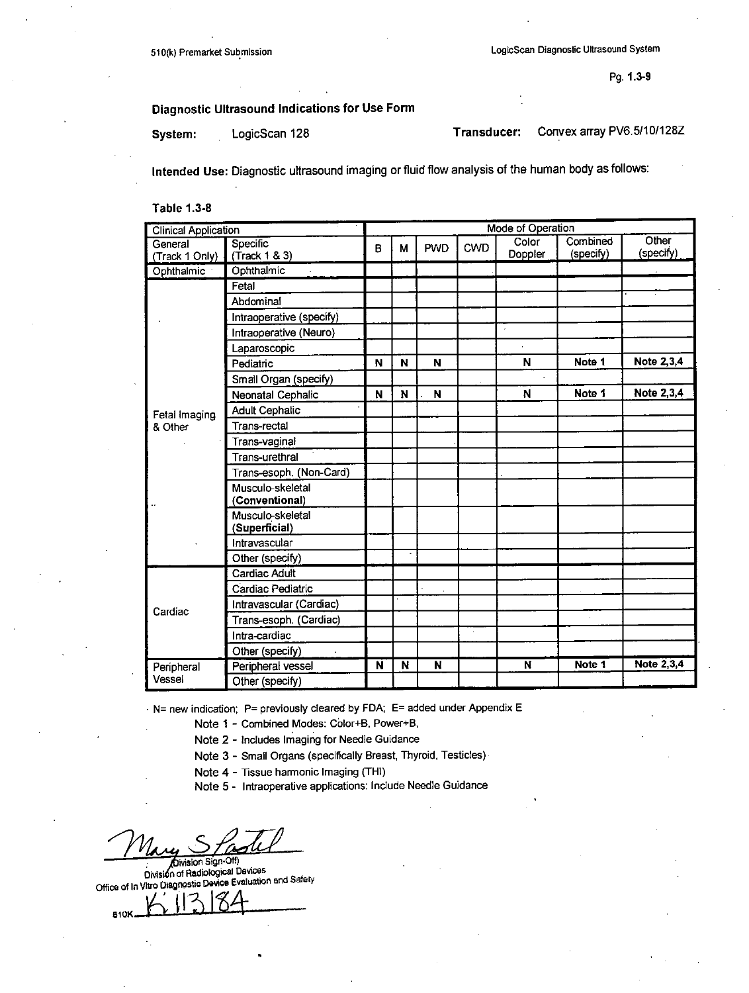# Diagnostic Ultrasound Indications for Use Form

System: LogicScan 128 **Transducer:** 

Convex array PV6.5/10/128Z

Intended Use: Diagnostic ultrasound imaging or fluid flow analysis of the human body as follows:

**Table 1.3-8** 

| <b>Clinical Application</b> |                          |   |   |            |            | Mode of Operation |           |                   |
|-----------------------------|--------------------------|---|---|------------|------------|-------------------|-----------|-------------------|
| General                     | <b>Specific</b>          | B | М | <b>PWD</b> | <b>CWD</b> | Color             | Combined  | Other             |
| (Track 1 Only)              | (Track 1 & 3)            |   |   |            |            | Doppler           | (specify) | (specify)         |
| Ophthalmic                  | Ophthalmic               |   |   |            |            |                   |           |                   |
|                             | Fetal                    |   |   |            |            |                   |           |                   |
|                             | Abdominal                |   |   |            |            |                   |           |                   |
|                             | Intraoperative (specify) |   |   |            |            |                   |           |                   |
|                             | Intraoperative (Neuro)   |   |   |            |            | $\cdot$           |           |                   |
|                             | Laparoscopic             |   |   |            |            |                   |           |                   |
|                             | Pediatric                | N | N | N          |            | N                 | Note 1    | Note 2,3,4        |
|                             | Small Organ (specify)    |   |   |            |            |                   |           |                   |
|                             | Neonatal Cephalic        | N | N | N          |            | N                 | Note 1    | Note 2,3,4        |
| Fetal Imaging               | <b>Adult Cephalic</b>    |   |   |            |            |                   |           |                   |
| & Other                     | <b>Trans-rectal</b>      |   |   |            |            |                   |           |                   |
|                             | Trans-vaginal            |   |   |            |            |                   |           |                   |
|                             | <b>Trans-urethral</b>    |   |   |            |            |                   |           |                   |
|                             | Trans-esoph. (Non-Card)  |   |   |            |            |                   |           |                   |
|                             | Musculo-skeletal         |   |   |            |            |                   |           |                   |
|                             | (Conventional)           |   |   |            |            |                   |           |                   |
|                             | Musculo-skeletal         |   |   |            |            |                   |           |                   |
|                             | (Superficial)            |   |   |            |            |                   |           |                   |
|                             | Intravascular            |   |   |            |            |                   |           |                   |
|                             | Other (specify)          |   |   |            |            |                   |           |                   |
|                             | Cardiac Adult            |   |   |            |            |                   |           |                   |
|                             | Cardiac Pediatric        |   |   |            |            |                   |           |                   |
| Cardiac                     | Intravascular (Cardiac)  |   |   |            |            |                   |           |                   |
|                             | Trans-esoph. (Cardiac)   |   |   |            |            |                   |           |                   |
|                             | Intra-cardiac            |   |   |            |            |                   |           |                   |
|                             | Other (specify)          |   |   |            |            |                   |           |                   |
| Peripheral                  | Peripheral vessel        | N | N | N          |            | N                 | Note 1    | <b>Note 2,3,4</b> |
| Vessel                      | Other (specify)          |   |   |            |            |                   |           |                   |

- N= new indication; P= previously cleared by FDA; E= added under Appendix E

Note 1 - Combined Modes: Color+B, Power+B,

Note 2 - Includes Imaging for Needle Guidance

Note 3 - Small Organs (specifically Breast, Thyroid, Testicles)

Note 4 - Tissue harmonic Imaging (THI)

Note 5 - Intraoperative applications: Include Needle Guidance

Division Sign-Off)

Division of Radiological Devices Office of In Vitro Diagnostic Device Evaluation and Safety

**810K**